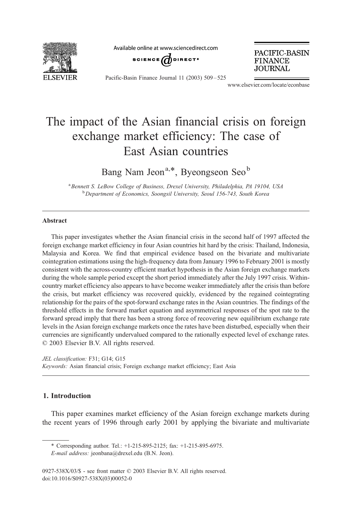

Available online at www.sciencedirect.com



PACIFIC-BASIN **FINANCE JOURNAL** 

Pacific-Basin Finance Journal 11 (2003) 509 – 525

www.elsevier.com/locate/econbase

## The impact of the Asian financial crisis on foreign exchange market efficiency: The case of East Asian countries

Bang Nam Jeon<sup>a,\*</sup>, Byeongseon Seo<sup>b</sup>

<sup>a</sup> Bennett S. LeBow College of Business, Drexel University, Philadelphia, PA 19104, USA <sup>b</sup> Department of Economics, Soongsil University, Seoul 156-743, South Korea

## Abstract

This paper investigates whether the Asian financial crisis in the second half of 1997 affected the foreign exchange market efficiency in four Asian countries hit hard by the crisis: Thailand, Indonesia, Malaysia and Korea. We find that empirical evidence based on the bivariate and multivariate cointegration estimations using the high-frequency data from January 1996 to February 2001 is mostly consistent with the across-country efficient market hypothesis in the Asian foreign exchange markets during the whole sample period except the short period immediately after the July 1997 crisis. Withincountry market efficiency also appears to have become weaker immediately after the crisis than before the crisis, but market efficiency was recovered quickly, evidenced by the regained cointegrating relationship for the pairs of the spot-forward exchange rates in the Asian countries. The findings of the threshold effects in the forward market equation and asymmetrical responses of the spot rate to the forward spread imply that there has been a strong force of recovering new equilibrium exchange rate levels in the Asian foreign exchange markets once the rates have been disturbed, especially when their currencies are significantly undervalued compared to the rationally expected level of exchange rates.  $© 2003 Elsevier B.V. All rights reserved.$ 

JEL classification: F31; G14; G15 Keywords: Asian financial crisis; Foreign exchange market efficiency; East Asia

## 1. Introduction

This paper examines market efficiency of the Asian foreign exchange markets during the recent years of 1996 through early 2001 by applying the bivariate and multivariate

<sup>\*</sup> Corresponding author. Tel.: +1-215-895-2125; fax: +1-215-895-6975.

E-mail address: jeonbana@drexel.edu (B.N. Jeon).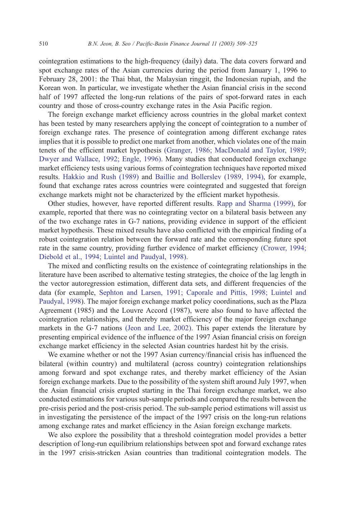cointegration estimations to the high-frequency (daily) data. The data covers forward and spot exchange rates of the Asian currencies during the period from January 1, 1996 to February 28, 2001: the Thai bhat, the Malaysian ringgit, the Indonesian rupiah, and the Korean won. In particular, we investigate whether the Asian financial crisis in the second half of 1997 affected the long-run relations of the pairs of spot-forward rates in each country and those of cross-country exchange rates in the Asia Pacific region.

The foreign exchange market efficiency across countries in the global market context has been tested by many researchers applying the concept of cointegration to a number of foreign exchange rates. The presence of cointegration among different exchange rates implies that it is possible to predict one market from another, which violates one of the main tenets of the efficient market hypothesis [\(Granger, 1986; MacDonald and Taylor, 1989;](#page--1-0) Dwyer and Wallace, 1992; Engle, 1996). Many studies that conducted foreign exchange market efficiency tests using various forms of cointegration techniques have reported mixed results. [Hakkio and Rush \(1989\)](#page--1-0) and [Baillie and Bollerslev \(1989, 1994\),](#page--1-0) for example, found that exchange rates across countries were cointegrated and suggested that foreign exchange markets might not be characterized by the efficient market hypothesis.

Other studies, however, have reported different results. [Rapp and Sharma \(1999\),](#page--1-0) for example, reported that there was no cointegrating vector on a bilateral basis between any of the two exchange rates in G-7 nations, providing evidence in support of the efficient market hypothesis. These mixed results have also conflicted with the empirical finding of a robust cointegration relation between the forward rate and the corresponding future spot rate in the same country, providing further evidence of market efficiency [\(Crower, 1994;](#page--1-0) Diebold et al., 1994; Luintel and Paudyal, 1998).

The mixed and conflicting results on the existence of cointegrating relationships in the literature have been ascribed to alternative testing strategies, the choice of the lag length in the vector autoregression estimation, different data sets, and different frequencies of the data (for example, [Sephton and Larsen, 1991; Caporale and Pittis, 1998; Luintel and](#page--1-0) Paudyal, 1998). The major foreign exchange market policy coordinations, such as the Plaza Agreement (1985) and the Louvre Accord (1987), were also found to have affected the cointegration relationships, and thereby market efficiency of the major foreign exchange markets in the G-7 nations [\(Jeon and Lee, 2002\).](#page--1-0) This paper extends the literature by presenting empirical evidence of the influence of the 1997 Asian financial crisis on foreign exchange market efficiency in the selected Asian countries hardest hit by the crisis.

We examine whether or not the 1997 Asian currency/financial crisis has influenced the bilateral (within country) and multilateral (across country) cointegration relationships among forward and spot exchange rates, and thereby market efficiency of the Asian foreign exchange markets. Due to the possibility of the system shift around July 1997, when the Asian financial crisis erupted starting in the Thai foreign exchange market, we also conducted estimations for various sub-sample periods and compared the results between the pre-crisis period and the post-crisis period. The sub-sample period estimations will assist us in investigating the persistence of the impact of the 1997 crisis on the long-run relations among exchange rates and market efficiency in the Asian foreign exchange markets.

We also explore the possibility that a threshold cointegration model provides a better description of long-run equilibrium relationships between spot and forward exchange rates in the 1997 crisis-stricken Asian countries than traditional cointegration models. The